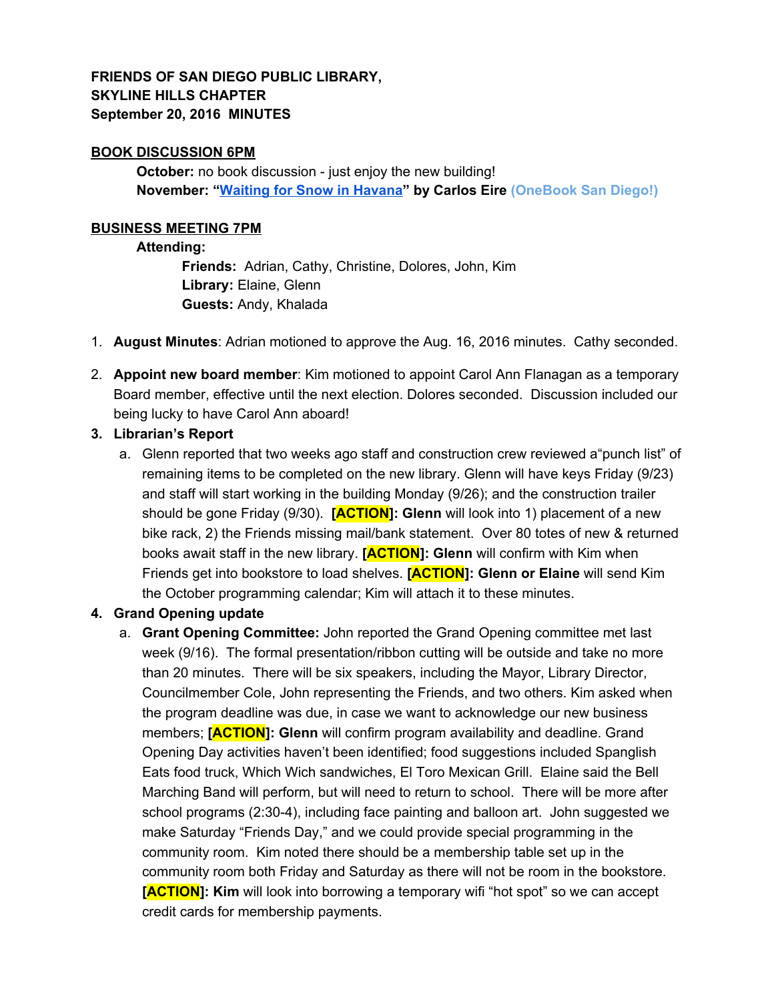# **FRIENDS OF SAN DIEGO PUBLIC LIBRARY, SKYLINE HILLS CHAPTER September 20, 2016 MINUTES**

### **BOOK DISCUSSION 6PM**

**October:** no book discussion - just enjoy the new building! **November: "[Waiting](https://sandiego.bibliocommons.com/item/show/1461276104_waiting_for_snow_in_havana) for Snow in Havana" by Carlos Eire (OneBook San Diego!)**

### **BUSINESS MEETING 7PM**

#### **Attending:**

**Friends:** Adrian, Cathy, Christine, Dolores, John, Kim **Library:** Elaine, Glenn **Guests:** Andy, Khalada

- 1. **August Minutes**: Adrian motioned to approve the Aug. 16, 2016 minutes. Cathy seconded.
- 2. **Appoint new board member**: Kim motioned to appoint Carol Ann Flanagan as a temporary Board member, effective until the next election. Dolores seconded. Discussion included our being lucky to have Carol Ann aboard!
- **3. Librarian's Report**
	- a. Glenn reported that two weeks ago staff and construction crew reviewed a"punch list" of remaining items to be completed on the new library. Glenn will have keys Friday (9/23) and staff will start working in the building Monday (9/26); and the construction trailer should be gone Friday (9/30). **[ACTION]: Glenn** will look into 1) placement of a new bike rack, 2) the Friends missing mail/bank statement. Over 80 totes of new & returned books await staff in the new library. **[ACTION]: Glenn** will confirm with Kim when Friends get into bookstore to load shelves. **[ACTION]: Glenn or Elaine** will send Kim the October programming calendar; Kim will attach it to these minutes.

### **4. Grand Opening update**

a. **Grant Opening Committee:** John reported the Grand Opening committee met last week (9/16). The formal presentation/ribbon cutting will be outside and take no more than 20 minutes. There will be six speakers, including the Mayor, Library Director, Councilmember Cole, John representing the Friends, and two others. Kim asked when the program deadline was due, in case we want to acknowledge our new business members; **[ACTION]: Glenn** will confirm program availability and deadline. Grand Opening Day activities haven't been identified; food suggestions included Spanglish Eats food truck, Which Wich sandwiches, El Toro Mexican Grill. Elaine said the Bell Marching Band will perform, but will need to return to school. There will be more after school programs (2:30-4), including face painting and balloon art. John suggested we make Saturday "Friends Day," and we could provide special programming in the community room. Kim noted there should be a membership table set up in the community room both Friday and Saturday as there will not be room in the bookstore. **[ACTION]: Kim** will look into borrowing a temporary wifi "hot spot" so we can accept credit cards for membership payments.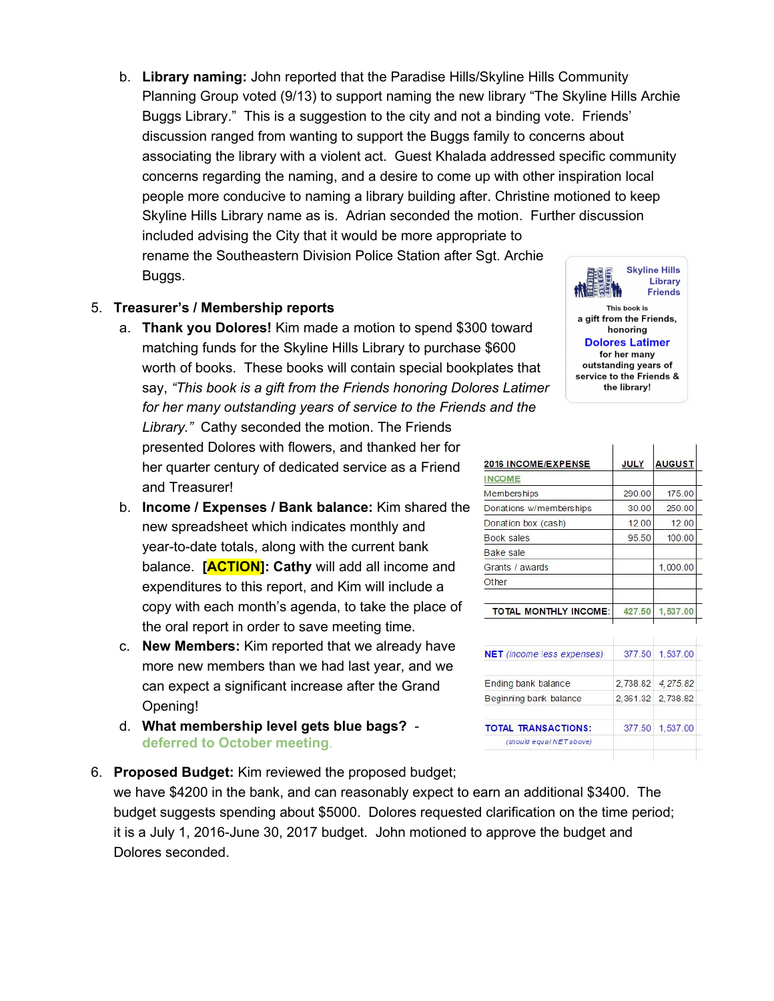b. **Library naming:** John reported that the Paradise Hills/Skyline Hills Community Planning Group voted (9/13) to support naming the new library "The Skyline Hills Archie Buggs Library." This is a suggestion to the city and not a binding vote. Friends' discussion ranged from wanting to support the Buggs family to concerns about associating the library with a violent act. Guest Khalada addressed specific community concerns regarding the naming, and a desire to come up with other inspiration local people more conducive to naming a library building after. Christine motioned to keep Skyline Hills Library name as is. Adrian seconded the motion. Further discussion included advising the City that it would be more appropriate to rename the Southeastern Division Police Station after Sgt. Archie **Skyline Hills** Buggs.

## 5. **Treasurer's / Membership reports**

- a. **Thank you Dolores!** Kim made a motion to spend \$300 toward matching funds for the Skyline Hills Library to purchase \$600 worth of books. These books will contain special bookplates that say, *"This book is a gift from the Friends honoring Dolores Latimer for her many outstanding years of service to the Friends and the Library."* Cathy seconded the motion. The Friends presented Dolores with flowers, and thanked her for her quarter century of dedicated service as a Friend and Treasurer!
- b. **Income / Expenses / Bank balance:** Kim shared the new spreadsheet which indicates monthly and year-to-date totals, along with the current bank balance. **[ACTION]: Cathy** will add all income and expenditures to this report, and Kim will include a copy with each month's agenda, to take the place of the oral report in order to save meeting time.
- c. **New Members:** Kim reported that we already have more new members than we had last year, and we can expect a significant increase after the Grand Opening!
- d. **What membership level gets blue bags? deferred to October meeting**.
- 6. **Proposed Budget:** Kim reviewed the proposed budget; we have \$4200 in the bank, and can reasonably expect to earn an additional \$3400. The budget suggests spending about \$5000. Dolores requested clarification on the time period;

it is a July 1, 2016-June 30, 2017 budget. John motioned to approve the budget and Dolores seconded.



| 2016 INCOME/EXPENSE          | <b>JULY</b> | <b>AUGUST</b> |
|------------------------------|-------------|---------------|
| <b>INCOME</b>                |             |               |
| <b>Memberships</b>           | 290.00      | 175.00        |
| Donations w/memberships      | 30.00       | 250.00        |
| Donation box (cash)          | 12.00       | 12.00         |
| <b>Book sales</b>            | 95.50       | 100.00        |
| Bake sale                    |             |               |
| Grants / awards              |             | 1,000.00      |
| Other                        |             |               |
| <b>TOTAL MONTHLY INCOME:</b> | 427.50      | 1,537.00      |

| <b>NET</b> (income less expenses) | 377.50 | 1,537.00          |
|-----------------------------------|--------|-------------------|
| Ending bank balance               |        | 2,738.82 4,275.82 |
| Beginning bank balance            |        | 2,361.32 2,738.82 |
| <b>TOTAL TRANSACTIONS:</b>        | 377.50 | 1.537.00          |
| (should equal NET above)          |        |                   |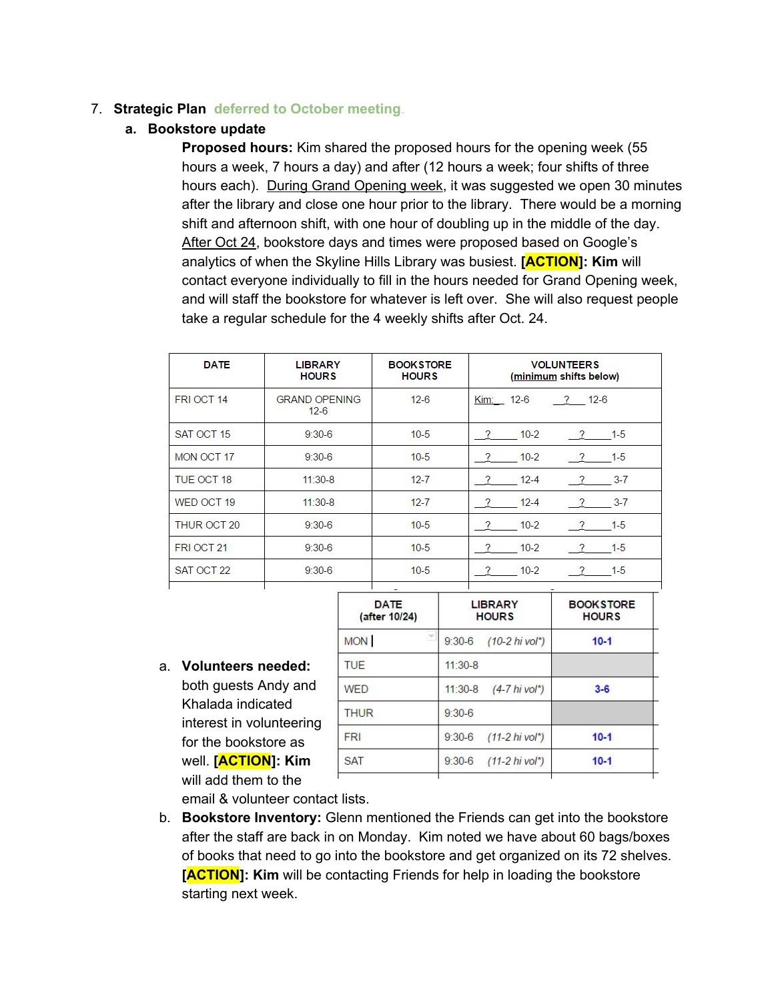## 7. **Strategic Plan deferred to October meeting**.

## **a. Bookstore update**

**Proposed hours:** Kim shared the proposed hours for the opening week (55 hours a week, 7 hours a day) and after (12 hours a week; four shifts of three hours each). During Grand Opening week, it was suggested we open 30 minutes after the library and close one hour prior to the library. There would be a morning shift and afternoon shift, with one hour of doubling up in the middle of the day. After Oct 24, bookstore days and times were proposed based on Google's analytics of when the Skyline Hills Library was busiest. **[ACTION]: Kim** will contact everyone individually to fill in the hours needed for Grand Opening week, and will staff the bookstore for whatever is left over. She will also request people take a regular schedule for the 4 weekly shifts after Oct. 24.

| <b>DATE</b>       | <b>LIBRARY</b><br><b>HOURS</b> | <b>BOOKSTORE</b><br><b>HOURS</b> | <b>VOLUNTEERS</b><br>(minimum shifts below)   |  |
|-------------------|--------------------------------|----------------------------------|-----------------------------------------------|--|
| FRI OCT 14        | <b>GRAND OPENING</b><br>$12-6$ | $12-6$                           | $12 - 6$<br>$12 - 6$<br>$\mathcal{P}$<br>Kim: |  |
| SAT OCT 15        | $9:30-6$                       | $10-5$                           | $10-2$<br>$1-5$<br>2<br>$\sqrt{2}$            |  |
| MON OCT 17        | $9:30-6$                       | $10-5$                           | $10-2$<br>$1 - 5$<br>?<br>$\sqrt{2}$          |  |
| <b>TUE OCT 18</b> | $11:30-8$                      | $12 - 7$                         | $12 - 4$<br>$3 - 7$<br>?<br>$\gamma$          |  |
| WED OCT 19        | $11:30-8$                      | $12 - 7$                         | $12 - 4$<br>$3 - 7$                           |  |
| THUR OCT 20       | $9:30-6$                       | $10-5$                           | $1 - 5$<br>$10 - 2$<br>2<br>$\sqrt{ }$        |  |
| FRI OCT 21        | $9:30-6$                       | $10-5$                           | $1 - 5$<br>$10-2$                             |  |
| SAT OCT 22        | $9:30-6$                       | $10-5$                           | 2<br>$10 - 2$<br>$1 - 5$<br>$\gamma$          |  |
|                   |                                |                                  |                                               |  |

a. **Volunteers needed:** both guests Andy and Khalada indicated interest in volunteering for the bookstore as well. **[ACTION]: Kim** will add them to the

| <b>DATE</b><br>(after 10/24) | <b>LIBRARY</b><br><b>HOURS</b>               | <b>BOOKSTORE</b><br><b>HOURS</b> |  |  |
|------------------------------|----------------------------------------------|----------------------------------|--|--|
| <b>MON</b>                   | $9:30-6$<br>$(10-2)$ hi vol <sup>*</sup> )   | $10-1$                           |  |  |
| <b>TUE</b>                   | $11:30-8$                                    |                                  |  |  |
| <b>WED</b>                   | $11:30-8$<br>$(4 - 7)$ hi vol <sup>*</sup> ) | $3 - 6$                          |  |  |
| <b>THUR</b>                  | $9:30-6$                                     |                                  |  |  |
| <b>FRI</b>                   | $(11 - 2 \text{ hi vol}^*)$<br>$9:30-6$      | $10 - 1$                         |  |  |
| <b>SAT</b>                   | $(11-2 hivol^*)$<br>$9:30-6$                 | $10 - 1$                         |  |  |
|                              |                                              |                                  |  |  |

email & volunteer contact lists.

b. **Bookstore Inventory:** Glenn mentioned the Friends can get into the bookstore after the staff are back in on Monday. Kim noted we have about 60 bags/boxes of books that need to go into the bookstore and get organized on its 72 shelves. **[ACTION]: Kim** will be contacting Friends for help in loading the bookstore starting next week.